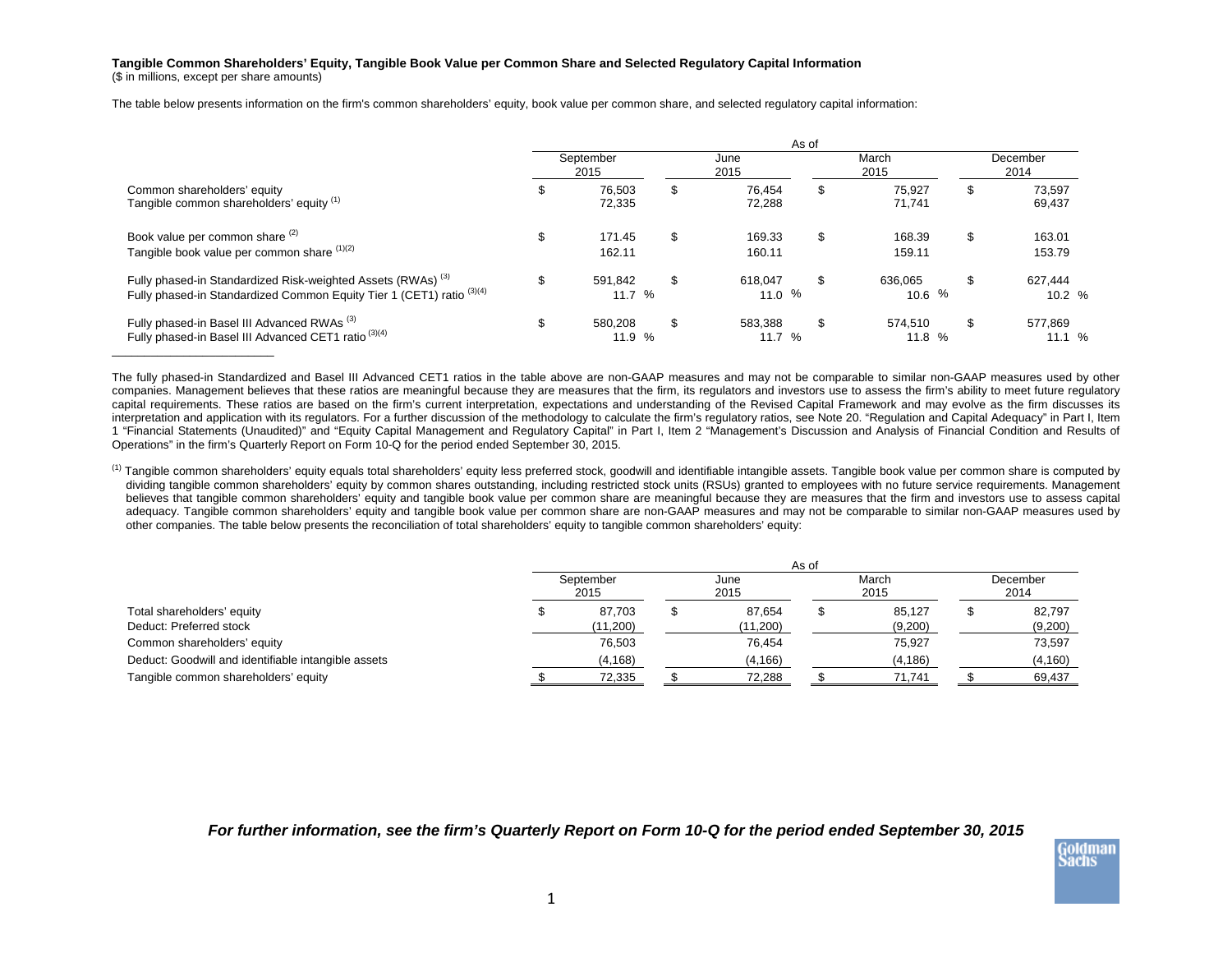## **Tangible Common Shareholders' Equity, Tangible Book Value per Common Share and Selected Regulatory Capital Information**

(\$ in millions, except per share amounts)

\_\_\_\_\_\_\_\_\_\_\_\_\_\_\_\_\_\_\_\_\_\_\_\_\_

The table below presents information on the firm's common shareholders' equity, book value per common share, and selected regulatory capital information:

|                                                                                                                                                  | As of |                   |    |                     |    |                   |                  |                   |  |  |  |
|--------------------------------------------------------------------------------------------------------------------------------------------------|-------|-------------------|----|---------------------|----|-------------------|------------------|-------------------|--|--|--|
| Common shareholders' equity<br>Tangible common shareholders' equity (1)                                                                          |       | September<br>2015 |    | June<br>2015        |    | March<br>2015     | December<br>2014 |                   |  |  |  |
|                                                                                                                                                  | \$    | 76.503<br>72.335  | \$ | 76.454<br>72.288    | \$ | 75.927<br>71.741  | \$               | 73,597<br>69,437  |  |  |  |
| Book value per common share (2)<br>Tangible book value per common share (1)(2)                                                                   | \$    | 171.45<br>162.11  | \$ | 169.33<br>160.11    | \$ | 168.39<br>159.11  | \$               | 163.01<br>153.79  |  |  |  |
| Fully phased-in Standardized Risk-weighted Assets (RWAs) <sup>(3)</sup><br>Fully phased-in Standardized Common Equity Tier 1 (CET1) ratio (3)(4) | \$    | 591.842<br>11.7%  | \$ | 618.047<br>11.0 $%$ | \$ | 636.065<br>10.6%  | S                | 627.444<br>10.2 % |  |  |  |
| Fully phased-in Basel III Advanced RWAs <sup>(3)</sup><br>Fully phased-in Basel III Advanced CET1 ratio <sup>(3)(4)</sup>                        | \$    | 580.208<br>11.9 % | \$ | 583.388<br>11.7%    | \$ | 574.510<br>11.8 % | \$               | 577.869<br>11.1%  |  |  |  |

The fully phased-in Standardized and Basel III Advanced CET1 ratios in the table above are non-GAAP measures and may not be comparable to similar non-GAAP measures used by other companies. Management believes that these ratios are meaningful because they are measures that the firm, its regulators and investors use to assess the firm's ability to meet future regulatory capital requirements. These ratios are based on the firm's current interpretation, expectations and understanding of the Revised Capital Framework and may evolve as the firm discusses its interpretation and application with its regulators. For a further discussion of the methodology to calculate the firm's regulatory ratios, see Note 20. "Regulation and Capital Adequacy" in Part I, Item 1 "Financial Statements (Unaudited)" and "Equity Capital Management and Regulatory Capital" in Part I, Item 2 "Management's Discussion and Analysis of Financial Condition and Results of Operations" in the firm's Quarterly Report on Form 10-Q for the period ended September 30, 2015.

<sup>(1)</sup> Tangible common shareholders' equity equals total shareholders' equity less preferred stock, goodwill and identifiable intangible assets. Tangible book value per common share is computed by dividing tangible common shareholders' equity by common shares outstanding, including restricted stock units (RSUs) granted to employees with no future service requirements. Management believes that tangible common shareholders' equity and tangible book value per common share are meaningful because they are measures that the firm and investors use to assess capital adequacy. Tangible common shareholders' equity and tangible book value per common share are non-GAAP measures and may not be comparable to similar non-GAAP measures used by other companies. The table below presents the reconciliation of total shareholders' equity to tangible common shareholders' equity:

|                                                     |                   |  | As of<br>March<br>December<br>June |  |          |  |          |  |  |  |  |  |
|-----------------------------------------------------|-------------------|--|------------------------------------|--|----------|--|----------|--|--|--|--|--|
|                                                     | September<br>2015 |  | 2015                               |  | 2015     |  | 2014     |  |  |  |  |  |
| Total shareholders' equity                          | 87.703            |  | 87.654                             |  | 85,127   |  | 82,797   |  |  |  |  |  |
| Deduct: Preferred stock                             | (11,200)          |  | (11,200)                           |  | (9,200)  |  | (9,200)  |  |  |  |  |  |
| Common shareholders' equity                         | 76,503            |  | 76,454                             |  | 75.927   |  | 73,597   |  |  |  |  |  |
| Deduct: Goodwill and identifiable intangible assets | (4, 168)          |  | (4, 166)                           |  | (4, 186) |  | (4, 160) |  |  |  |  |  |
| Tangible common shareholders' equity                | 72,335            |  | 72,288                             |  | 71.741   |  | 69,437   |  |  |  |  |  |

*For further information, see the firm's Quarterly Report on Form 10-Q for the period ended September 30, 2015*